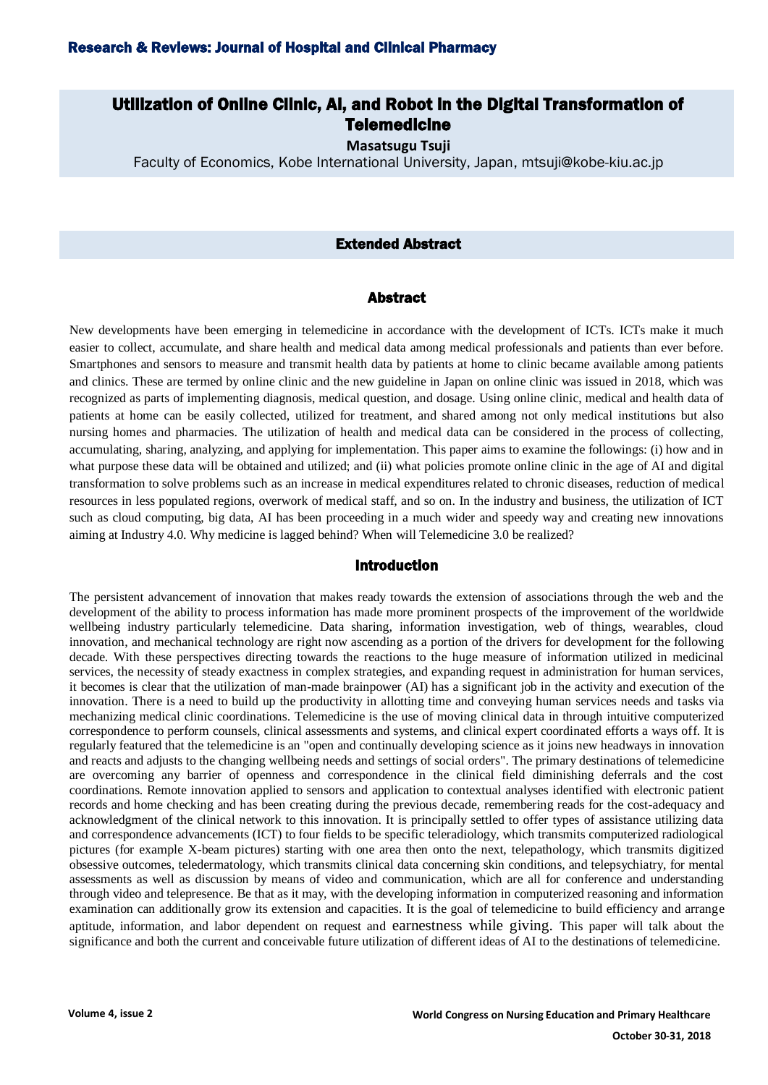# Utilization of Online Clinic, Ai, and Robot in the Digital Transformation of **Telemedicine**

**Masatsugu Tsuji**

Faculty of Economics, Kobe International University, Japan, mtsuji@kobe-kiu.ac.jp

### Extended Abstract

### Abstract

New developments have been emerging in telemedicine in accordance with the development of ICTs. ICTs make it much easier to collect, accumulate, and share health and medical data among medical professionals and patients than ever before. Smartphones and sensors to measure and transmit health data by patients at home to clinic became available among patients and clinics. These are termed by online clinic and the new guideline in Japan on online clinic was issued in 2018, which was recognized as parts of implementing diagnosis, medical question, and dosage. Using online clinic, medical and health data of patients at home can be easily collected, utilized for treatment, and shared among not only medical institutions but also nursing homes and pharmacies. The utilization of health and medical data can be considered in the process of collecting, accumulating, sharing, analyzing, and applying for implementation. This paper aims to examine the followings: (i) how and in what purpose these data will be obtained and utilized; and (ii) what policies promote online clinic in the age of AI and digital transformation to solve problems such as an increase in medical expenditures related to chronic diseases, reduction of medical resources in less populated regions, overwork of medical staff, and so on. In the industry and business, the utilization of ICT such as cloud computing, big data, AI has been proceeding in a much wider and speedy way and creating new innovations aiming at Industry 4.0. Why medicine is lagged behind? When will Telemedicine 3.0 be realized?

#### Introduction

The persistent advancement of innovation that makes ready towards the extension of associations through the web and the development of the ability to process information has made more prominent prospects of the improvement of the worldwide wellbeing industry particularly telemedicine. Data sharing, information investigation, web of things, wearables, cloud innovation, and mechanical technology are right now ascending as a portion of the drivers for development for the following decade. With these perspectives directing towards the reactions to the huge measure of information utilized in medicinal services, the necessity of steady exactness in complex strategies, and expanding request in administration for human services, it becomes is clear that the utilization of man-made brainpower (AI) has a significant job in the activity and execution of the innovation. There is a need to build up the productivity in allotting time and conveying human services needs and tasks via mechanizing medical clinic coordinations. Telemedicine is the use of moving clinical data in through intuitive computerized correspondence to perform counsels, clinical assessments and systems, and clinical expert coordinated efforts a ways off. It is regularly featured that the telemedicine is an "open and continually developing science as it joins new headways in innovation and reacts and adjusts to the changing wellbeing needs and settings of social orders". The primary destinations of telemedicine are overcoming any barrier of openness and correspondence in the clinical field diminishing deferrals and the cost coordinations. Remote innovation applied to sensors and application to contextual analyses identified with electronic patient records and home checking and has been creating during the previous decade, remembering reads for the cost-adequacy and acknowledgment of the clinical network to this innovation. It is principally settled to offer types of assistance utilizing data and correspondence advancements (ICT) to four fields to be specific teleradiology, which transmits computerized radiological pictures (for example X-beam pictures) starting with one area then onto the next, telepathology, which transmits digitized obsessive outcomes, teledermatology, which transmits clinical data concerning skin conditions, and telepsychiatry, for mental assessments as well as discussion by means of video and communication, which are all for conference and understanding through video and telepresence. Be that as it may, with the developing information in computerized reasoning and information examination can additionally grow its extension and capacities. It is the goal of telemedicine to build efficiency and arrange aptitude, information, and labor dependent on request and earnestness while giving. This paper will talk about the significance and both the current and conceivable future utilization of different ideas of AI to the destinations of telemedicine.